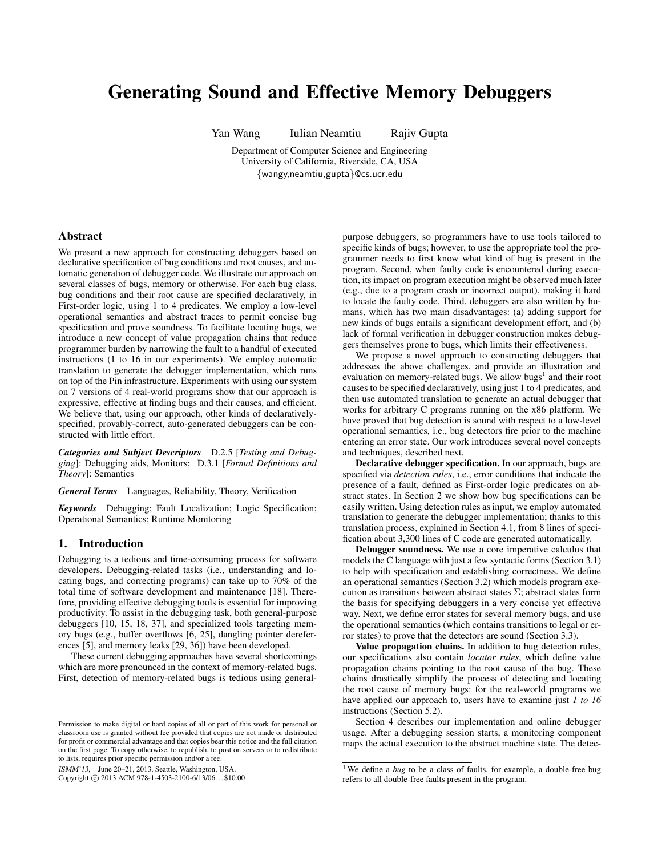# Generating Sound and Effective Memory Debuggers

Yan Wang Iulian Neamtiu Rajiv Gupta

Department of Computer Science and Engineering University of California, Riverside, CA, USA {wangy,neamtiu,gupta}@cs.ucr.edu

## Abstract

We present a new approach for constructing debuggers based on declarative specification of bug conditions and root causes, and automatic generation of debugger code. We illustrate our approach on several classes of bugs, memory or otherwise. For each bug class, bug conditions and their root cause are specified declaratively, in First-order logic, using 1 to 4 predicates. We employ a low-level operational semantics and abstract traces to permit concise bug specification and prove soundness. To facilitate locating bugs, we introduce a new concept of value propagation chains that reduce programmer burden by narrowing the fault to a handful of executed instructions (1 to 16 in our experiments). We employ automatic translation to generate the debugger implementation, which runs on top of the Pin infrastructure. Experiments with using our system on 7 versions of 4 real-world programs show that our approach is expressive, effective at finding bugs and their causes, and efficient. We believe that, using our approach, other kinds of declarativelyspecified, provably-correct, auto-generated debuggers can be constructed with little effort.

*Categories and Subject Descriptors* D.2.5 [*Testing and Debugging*]: Debugging aids, Monitors; D.3.1 [*Formal Definitions and Theory*]: Semantics

*General Terms* Languages, Reliability, Theory, Verification

*Keywords* Debugging; Fault Localization; Logic Specification; Operational Semantics; Runtime Monitoring

## 1. Introduction

Debugging is a tedious and time-consuming process for software developers. Debugging-related tasks (i.e., understanding and locating bugs, and correcting programs) can take up to 70% of the total time of software development and maintenance [18]. Therefore, providing effective debugging tools is essential for improving productivity. To assist in the debugging task, both general-purpose debuggers [10, 15, 18, 37], and specialized tools targeting memory bugs (e.g., buffer overflows [6, 25], dangling pointer dereferences [5], and memory leaks [29, 36]) have been developed.

These current debugging approaches have several shortcomings which are more pronounced in the context of memory-related bugs. First, detection of memory-related bugs is tedious using general-

ISMM'13, June 20–21, 2013, Seattle, Washington, USA.

Copyright © 2013 ACM 978-1-4503-2100-6/13/06... \$10.00

purpose debuggers, so programmers have to use tools tailored to specific kinds of bugs; however, to use the appropriate tool the programmer needs to first know what kind of bug is present in the program. Second, when faulty code is encountered during execution, its impact on program execution might be observed much later (e.g., due to a program crash or incorrect output), making it hard to locate the faulty code. Third, debuggers are also written by humans, which has two main disadvantages: (a) adding support for new kinds of bugs entails a significant development effort, and (b) lack of formal verification in debugger construction makes debuggers themselves prone to bugs, which limits their effectiveness.

We propose a novel approach to constructing debuggers that addresses the above challenges, and provide an illustration and evaluation on memory-related bugs. We allow bugs<sup>1</sup> and their root causes to be specified declaratively, using just 1 to 4 predicates, and then use automated translation to generate an actual debugger that works for arbitrary C programs running on the x86 platform. We have proved that bug detection is sound with respect to a low-level operational semantics, i.e., bug detectors fire prior to the machine entering an error state. Our work introduces several novel concepts and techniques, described next.

Declarative debugger specification. In our approach, bugs are specified via *detection rules*, i.e., error conditions that indicate the presence of a fault, defined as First-order logic predicates on abstract states. In Section 2 we show how bug specifications can be easily written. Using detection rules as input, we employ automated translation to generate the debugger implementation; thanks to this translation process, explained in Section 4.1, from 8 lines of specification about 3,300 lines of C code are generated automatically.

Debugger soundness. We use a core imperative calculus that models the C language with just a few syntactic forms (Section 3.1) to help with specification and establishing correctness. We define an operational semantics (Section 3.2) which models program execution as transitions between abstract states  $\Sigma$ ; abstract states form the basis for specifying debuggers in a very concise yet effective way. Next, we define error states for several memory bugs, and use the operational semantics (which contains transitions to legal or error states) to prove that the detectors are sound (Section 3.3).

Value propagation chains. In addition to bug detection rules, our specifications also contain *locator rules*, which define value propagation chains pointing to the root cause of the bug. These chains drastically simplify the process of detecting and locating the root cause of memory bugs: for the real-world programs we have applied our approach to, users have to examine just *1 to 16* instructions (Section 5.2).

Section 4 describes our implementation and online debugger usage. After a debugging session starts, a monitoring component maps the actual execution to the abstract machine state. The detec-

Permission to make digital or hard copies of all or part of this work for personal or classroom use is granted without fee provided that copies are not made or distributed for profit or commercial advantage and that copies bear this notice and the full citation on the first page. To copy otherwise, to republish, to post on servers or to redistribute to lists, requires prior specific permission and/or a fee.

<sup>&</sup>lt;sup>1</sup> We define a *bug* to be a class of faults, for example, a double-free bug refers to all double-free faults present in the program.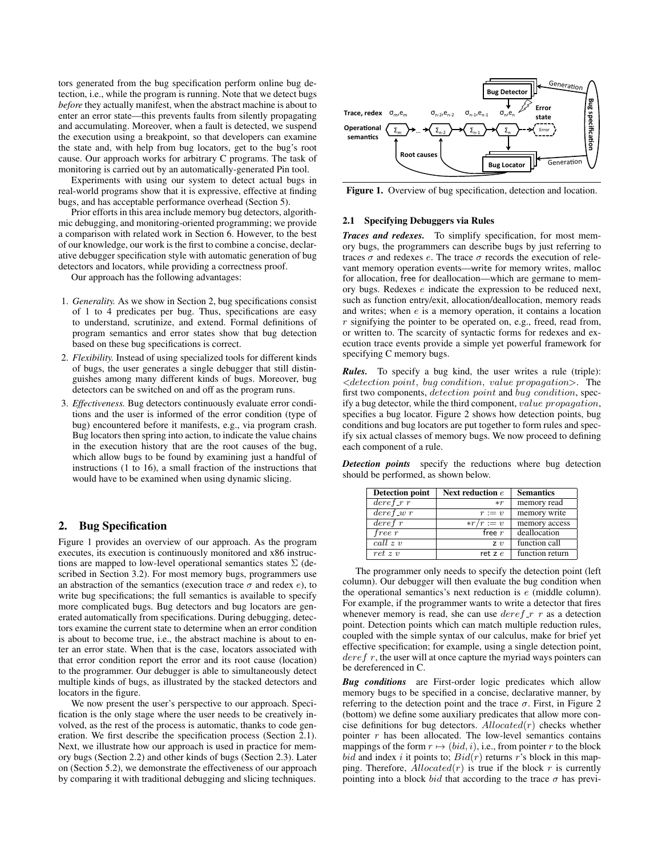tors generated from the bug specification perform online bug detection, i.e., while the program is running. Note that we detect bugs *before* they actually manifest, when the abstract machine is about to enter an error state—this prevents faults from silently propagating and accumulating. Moreover, when a fault is detected, we suspend the execution using a breakpoint, so that developers can examine the state and, with help from bug locators, get to the bug's root cause. Our approach works for arbitrary C programs. The task of monitoring is carried out by an automatically-generated Pin tool.

Experiments with using our system to detect actual bugs in real-world programs show that it is expressive, effective at finding bugs, and has acceptable performance overhead (Section 5).

Prior efforts in this area include memory bug detectors, algorithmic debugging, and monitoring-oriented programming; we provide a comparison with related work in Section 6. However, to the best of our knowledge, our work is the first to combine a concise, declarative debugger specification style with automatic generation of bug detectors and locators, while providing a correctness proof.

Our approach has the following advantages:

- 1. *Generality.* As we show in Section 2, bug specifications consist of 1 to 4 predicates per bug. Thus, specifications are easy to understand, scrutinize, and extend. Formal definitions of program semantics and error states show that bug detection based on these bug specifications is correct.
- 2. *Flexibility.* Instead of using specialized tools for different kinds of bugs, the user generates a single debugger that still distinguishes among many different kinds of bugs. Moreover, bug detectors can be switched on and off as the program runs.
- 3. *Effectiveness.* Bug detectors continuously evaluate error conditions and the user is informed of the error condition (type of bug) encountered before it manifests, e.g., via program crash. Bug locators then spring into action, to indicate the value chains in the execution history that are the root causes of the bug, which allow bugs to be found by examining just a handful of instructions (1 to 16), a small fraction of the instructions that would have to be examined when using dynamic slicing.

## 2. Bug Specification

Figure 1 provides an overview of our approach. As the program executes, its execution is continuously monitored and x86 instructions are mapped to low-level operational semantics states  $\Sigma$  (described in Section 3.2). For most memory bugs, programmers use an abstraction of the semantics (execution trace  $\sigma$  and redex e), to write bug specifications; the full semantics is available to specify more complicated bugs. Bug detectors and bug locators are generated automatically from specifications. During debugging, detectors examine the current state to determine when an error condition is about to become true, i.e., the abstract machine is about to enter an error state. When that is the case, locators associated with that error condition report the error and its root cause (location) to the programmer. Our debugger is able to simultaneously detect multiple kinds of bugs, as illustrated by the stacked detectors and locators in the figure.

We now present the user's perspective to our approach. Specification is the only stage where the user needs to be creatively involved, as the rest of the process is automatic, thanks to code generation. We first describe the specification process (Section 2.1). Next, we illustrate how our approach is used in practice for memory bugs (Section 2.2) and other kinds of bugs (Section 2.3). Later on (Section 5.2), we demonstrate the effectiveness of our approach by comparing it with traditional debugging and slicing techniques.



Figure 1. Overview of bug specification, detection and location.

# 2.1 Specifying Debuggers via Rules

*Traces and redexes.* To simplify specification, for most memory bugs, the programmers can describe bugs by just referring to traces  $σ$  and redexes  $e$ . The trace  $σ$  records the execution of relevant memory operation events—write for memory writes, malloc for allocation, free for deallocation—which are germane to memory bugs. Redexes e indicate the expression to be reduced next, such as function entry/exit, allocation/deallocation, memory reads and writes; when e is a memory operation, it contains a location r signifying the pointer to be operated on, e.g., freed, read from, or written to. The scarcity of syntactic forms for redexes and execution trace events provide a simple yet powerful framework for specifying C memory bugs.

*Rules.* To specify a bug kind, the user writes a rule (triple):  $\leq$  detection point, bug condition, value propagation $\geq$ . The first two components, detection point and bug condition, specify a bug detector, while the third component, value propagation, specifies a bug locator. Figure 2 shows how detection points, bug conditions and bug locators are put together to form rules and specify six actual classes of memory bugs. We now proceed to defining each component of a rule.

*Detection points* specify the reductions where bug detection should be performed, as shown below.

| <b>Detection point</b> | Next reduction $e$ | <b>Semantics</b> |
|------------------------|--------------------|------------------|
| $deref_r r$            | $* r$              | memory read      |
| $deref_w r$            | $r := v$           | memory write     |
| $deref\overline{r}$    | $* r/r := v$       | memory access    |
| free r                 | free $r$           | deallocation     |
| call z                 | Z <sub>1</sub>     | function call    |
| $ret\ z\ v$            | ret z $e$          | function return  |

The programmer only needs to specify the detection point (left column). Our debugger will then evaluate the bug condition when the operational semantics's next reduction is e (middle column). For example, if the programmer wants to write a detector that fires whenever memory is read, she can use  $deref$   $\tau$  r as a detection point. Detection points which can match multiple reduction rules, coupled with the simple syntax of our calculus, make for brief yet effective specification; for example, using a single detection point,  $deref r$ , the user will at once capture the myriad ways pointers can be dereferenced in C.

*Bug conditions* are First-order logic predicates which allow memory bugs to be specified in a concise, declarative manner, by referring to the detection point and the trace  $\sigma$ . First, in Figure 2 (bottom) we define some auxiliary predicates that allow more concise definitions for bug detectors.  $\textit{Allocated}(r)$  checks whether pointer  $r$  has been allocated. The low-level semantics contains mappings of the form  $r \mapsto (bid, i)$ , i.e., from pointer r to the block bid and index i it points to;  $Bid(r)$  returns r's block in this mapping. Therefore,  $\text{Allocated}(r)$  is true if the block r is currently pointing into a block bid that according to the trace  $\sigma$  has previ-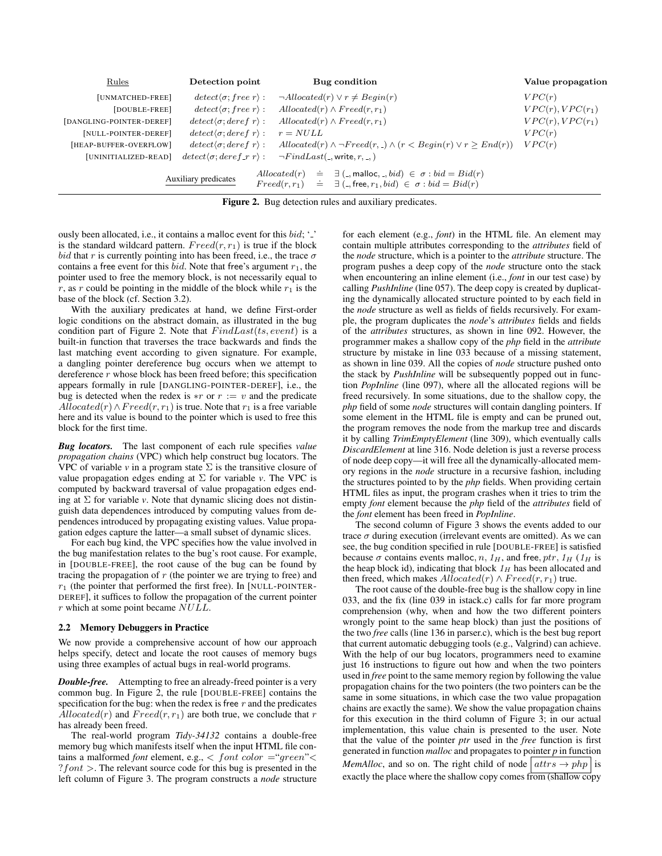| Rules                    | Detection point                             | Bug condition                                                                                                                                                                                         | Value propagation     |
|--------------------------|---------------------------------------------|-------------------------------------------------------------------------------------------------------------------------------------------------------------------------------------------------------|-----------------------|
| [UNMATCHED-FREE]         | $detect\langle \sigma; free\ r\rangle$ :    | $\neg \textit{Allocated}(r) \lor r \neq \textit{Begin}(r)$                                                                                                                                            | VPC(r)                |
| [DOUBLE-FREE]            | $detect\langle \sigma; free\ r\rangle$ :    | $\text{Allocated}(r) \wedge \text{Fred}(r,r_1)$                                                                                                                                                       | $VPC(r)$ , $VPC(r_1)$ |
| [DANGLING-POINTER-DEREF] | $detect\langle \sigma; deref\ r\rangle$ :   | $\textit{Allocated}(r) \wedge \textit{Freed}(r,r_1)$                                                                                                                                                  | $VPC(r)$ , $VPC(r_1)$ |
| [NULL-POINTER-DEREF]     | $detect\langle \sigma; deref\ r\rangle$ :   | $r = NULL$                                                                                                                                                                                            | VPC(r)                |
| [HEAP-BUFFER-OVERFLOW]   | $detect\langle \sigma; deref\ r\rangle$ :   | $\text{Allocated}(r) \land \neg \text{Freed}(r, \cdot) \land (r < \text{Begin}(r) \lor r \geq \text{End}(r))$                                                                                         | VPC(r)                |
| [UNINITIALIZED-READ]     | $detect\langle \sigma; deref_r r \rangle$ : | $\neg FindLast($ , write, $r,$ , $)$                                                                                                                                                                  |                       |
|                          | Auxiliary predicates                        | $\text{Allocated}(r) \equiv \exists (\text{.,}\text{malloc}, \text{.,}\text{bid}) \in \sigma : \text{bid} = \text{Bid}(r)$<br>$Freed(r, r_1) = \exists (-, free, r_1, bid) \in \sigma : bid = Bid(r)$ |                       |

Figure 2. Bug detection rules and auxiliary predicates.

ously been allocated, i.e., it contains a malloc event for this  $bid; '.'$ is the standard wildcard pattern.  $Freed(r, r_1)$  is true if the block bid that r is currently pointing into has been freed, i.e., the trace  $\sigma$ contains a free event for this  $bid.$  Note that free's argument  $r_1$ , the pointer used to free the memory block, is not necessarily equal to r, as r could be pointing in the middle of the block while  $r_1$  is the base of the block (cf. Section 3.2).

With the auxiliary predicates at hand, we define First-order logic conditions on the abstract domain, as illustrated in the bug condition part of Figure 2. Note that  $FindLast(ts, event)$  is a built-in function that traverses the trace backwards and finds the last matching event according to given signature. For example, a dangling pointer dereference bug occurs when we attempt to dereference  $r$  whose block has been freed before; this specification appears formally in rule [DANGLING-POINTER-DEREF], i.e., the bug is detected when the redex is  $\ast r$  or  $r := v$  and the predicate Allocated(r)∧F reed(r, r<sub>1</sub>) is true. Note that r<sub>1</sub> is a free variable here and its value is bound to the pointer which is used to free this block for the first time.

*Bug locators.* The last component of each rule specifies *value propagation chains* (VPC) which help construct bug locators. The VPC of variable  $\nu$  in a program state  $\Sigma$  is the transitive closure of value propagation edges ending at  $\Sigma$  for variable *v*. The VPC is computed by backward traversal of value propagation edges ending at  $\Sigma$  for variable *v*. Note that dynamic slicing does not distinguish data dependences introduced by computing values from dependences introduced by propagating existing values. Value propagation edges capture the latter—a small subset of dynamic slices.

For each bug kind, the VPC specifies how the value involved in the bug manifestation relates to the bug's root cause. For example, in [DOUBLE-FREE], the root cause of the bug can be found by tracing the propagation of  $r$  (the pointer we are trying to free) and  $r_1$  (the pointer that performed the first free). In [NULL-POINTER-DEREF], it suffices to follow the propagation of the current pointer r which at some point became NULL.

### 2.2 Memory Debuggers in Practice

We now provide a comprehensive account of how our approach helps specify, detect and locate the root causes of memory bugs using three examples of actual bugs in real-world programs.

*Double-free.* Attempting to free an already-freed pointer is a very common bug. In Figure 2, the rule [DOUBLE-FREE] contains the specification for the bug: when the redex is free  $r$  and the predicates  $\tilde{Allocated}(r)$  and  $Freed(r, r_1)$  are both true, we conclude that r has already been freed.

The real-world program *Tidy-34132* contains a double-free memory bug which manifests itself when the input HTML file contains a malformed *font* element, e.g., < *font* color ="green"<  $?font$  >. The relevant source code for this bug is presented in the left column of Figure 3. The program constructs a *node* structure for each element (e.g., *font*) in the HTML file. An element may contain multiple attributes corresponding to the *attributes* field of the *node* structure, which is a pointer to the *attribute* structure. The program pushes a deep copy of the *node* structure onto the stack when encountering an inline element (i.e., *font* in our test case) by calling *PushInline* (line 057). The deep copy is created by duplicating the dynamically allocated structure pointed to by each field in the *node* structure as well as fields of fields recursively. For example, the program duplicates the *node*'s *attributes* fields and fields of the *attributes* structures, as shown in line 092. However, the programmer makes a shallow copy of the *php* field in the *attribute* structure by mistake in line 033 because of a missing statement, as shown in line 039. All the copies of *node* structure pushed onto the stack by *PushInline* will be subsequently popped out in function *PopInline* (line 097), where all the allocated regions will be freed recursively. In some situations, due to the shallow copy, the *php* field of some *node* structures will contain dangling pointers. If some element in the HTML file is empty and can be pruned out, the program removes the node from the markup tree and discards it by calling *TrimEmptyElement* (line 309), which eventually calls *DiscardElement* at line 316. Node deletion is just a reverse process of node deep copy—it will free all the dynamically-allocated memory regions in the *node* structure in a recursive fashion, including the structures pointed to by the *php* fields. When providing certain HTML files as input, the program crashes when it tries to trim the empty *font* element because the *php* field of the *attributes* field of the *font* element has been freed in *PopInline*.

The second column of Figure 3 shows the events added to our trace  $\sigma$  during execution (irrelevant events are omitted). As we can see, the bug condition specified in rule [DOUBLE-FREE] is satisfied because  $\sigma$  contains events malloc, n,  $1_H$ , and free, ptr,  $1_H$  ( $1_H$  is the heap block id), indicating that block  $1<sub>H</sub>$  has been allocated and then freed, which makes  $\text{Allocated}(r) \wedge \text{Freed}(r, r_1)$  true.

The root cause of the double-free bug is the shallow copy in line 033, and the fix (line 039 in istack.c) calls for far more program comprehension (why, when and how the two different pointers wrongly point to the same heap block) than just the positions of the two *free* calls (line 136 in parser.c), which is the best bug report that current automatic debugging tools (e.g., Valgrind) can achieve. With the help of our bug locators, programmers need to examine just 16 instructions to figure out how and when the two pointers used in *free* point to the same memory region by following the value propagation chains for the two pointers (the two pointers can be the same in some situations, in which case the two value propagation chains are exactly the same). We show the value propagation chains for this execution in the third column of Figure 3; in our actual implementation, this value chain is presented to the user. Note that the value of the pointer *ptr* used in the *free* function is first generated in function *malloc* and propagates to pointer *p* in function *MemAlloc*, and so on. The right child of node  $\left| \text{attr } s \rightarrow \text{ph } p \right|$  is exactly the place where the shallow copy comes from (shallow copy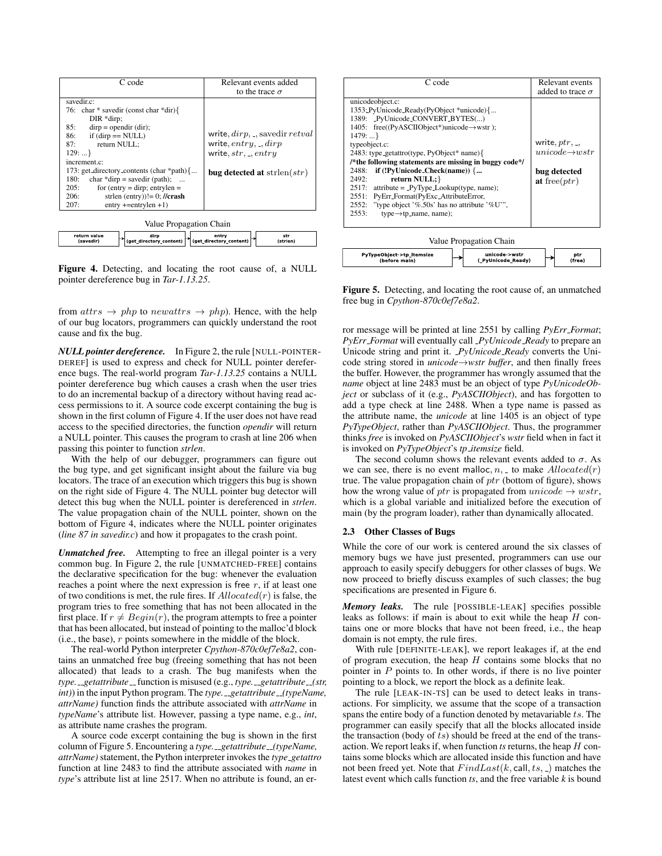| C code                                    | Relevant events added               |
|-------------------------------------------|-------------------------------------|
|                                           | to the trace $\sigma$               |
| savedir.c:                                |                                     |
| 76: char * savedir (const char *dir) $\{$ |                                     |
| $DIR *dirp$ ;                             |                                     |
| 85:<br>$dirp = opendir (dir);$            |                                     |
| if $(dirp == NULL)$<br>86:                | write, $dirp$ , _, savedir $retval$ |
| return NULL:<br>87:                       | write, entry, ., dirp               |
| 129:                                      | write, $str.$ $entry$               |
| increment.c:                              |                                     |
| 173: get_directory_contents (char *path){ | bug detected at strlen $(str)$      |
| 180:<br>char *dirp = savedir (path);      |                                     |
| for (entry = dirp; entrylen =<br>205:     |                                     |
| 206:<br>strlen (entry))!= 0; //crash      |                                     |
| $entry$ +=entrylen +1)<br>207:            |                                     |

| Value Propagation Chain |      |                                                             |          |  |  |  |
|-------------------------|------|-------------------------------------------------------------|----------|--|--|--|
| return value            | diro | entry                                                       | str      |  |  |  |
| (savedir)               |      | $ $ (get directory content) $ $ (get directory content) $ $ | (strien) |  |  |  |

Figure 4. Detecting, and locating the root cause of, a NULL pointer dereference bug in *Tar-1.13.25*.

from  $atrs \rightarrow php$  to newattrs  $\rightarrow php$ ). Hence, with the help of our bug locators, programmers can quickly understand the root cause and fix the bug.

*NULL pointer dereference.* In Figure 2, the rule [NULL-POINTER-DEREF] is used to express and check for NULL pointer dereference bugs. The real-world program *Tar-1.13.25* contains a NULL pointer dereference bug which causes a crash when the user tries to do an incremental backup of a directory without having read access permissions to it. A source code excerpt containing the bug is shown in the first column of Figure 4. If the user does not have read access to the specified directories, the function *opendir* will return a NULL pointer. This causes the program to crash at line 206 when passing this pointer to function *strlen*.

With the help of our debugger, programmers can figure out the bug type, and get significant insight about the failure via bug locators. The trace of an execution which triggers this bug is shown on the right side of Figure 4. The NULL pointer bug detector will detect this bug when the NULL pointer is dereferenced in *strlen*. The value propagation chain of the NULL pointer, shown on the bottom of Figure 4, indicates where the NULL pointer originates (*line 87 in savedir.c*) and how it propagates to the crash point.

*Unmatched free.* Attempting to free an illegal pointer is a very common bug. In Figure 2, the rule [UNMATCHED-FREE] contains the declarative specification for the bug: whenever the evaluation reaches a point where the next expression is free  $r$ , if at least one of two conditions is met, the rule fires. If  $\text{Allocated}(r)$  is false, the program tries to free something that has not been allocated in the first place. If  $r \neq Begin(r)$ , the program attempts to free a pointer that has been allocated, but instead of pointing to the malloc'd block (i.e., the base),  $r$  points somewhere in the middle of the block.

The real-world Python interpreter *Cpython-870c0ef7e8a2*, contains an unmatched free bug (freeing something that has not been allocated) that leads to a crash. The bug manifests when the *type. getattribute function is misused (e.g., <i>type. getattribute (str, int*)) in the input Python program. The *type*. *\_getattribute \_(typeName, attrName)* function finds the attribute associated with *attrName* in *typeName*'s attribute list. However, passing a type name, e.g., *int*, as attribute name crashes the program.

A source code excerpt containing the bug is shown in the first column of Figure 5. Encountering a *type.* \_\_getattribute\_(typeName, *attrName)*statement, the Python interpreter invokes the *type getattro* function at line 2483 to find the attribute associated with *name* in *type*'s attribute list at line 2517. When no attribute is found, an er-

| C code                                                                                                                                                                                                                                                                                                                                                                                                                                                                                                                                                          | Relevant events                                                                 |
|-----------------------------------------------------------------------------------------------------------------------------------------------------------------------------------------------------------------------------------------------------------------------------------------------------------------------------------------------------------------------------------------------------------------------------------------------------------------------------------------------------------------------------------------------------------------|---------------------------------------------------------------------------------|
|                                                                                                                                                                                                                                                                                                                                                                                                                                                                                                                                                                 | added to trace $\sigma$                                                         |
| unicodeobject.c:<br>1353: PyUnicode_Ready(PyObject *unicode) {<br>1389: _PyUnicode_CONVERT_BYTES()<br>1405: free((PyASCIIObject*)unicode→wstr);<br>1479:<br>typeobject.c:<br>2483: type_getattro(type, PyObject* name){<br>/*the following statements are missing in buggy code*/<br>if (!PyUnicode_Check(name)) {<br>2488:<br>return NULL; }<br>2492:<br>$2517$ : attribute = _PyType_Lookup(type, name);<br>PyErr_Format(PyExc_AttributeError,<br>2551:<br>2552: "type object '%.50s' has no attribute '%U'",<br>2553:<br>$type \rightarrow tp_name$ , name); | write, $ptr,$<br>$unicode \rightarrow wstr$<br>bug detected<br>at free( $ptr$ ) |
| $\mathbf{v}$                                                                                                                                                                                                                                                                                                                                                                                                                                                                                                                                                    |                                                                                 |



Figure 5. Detecting, and locating the root cause of, an unmatched free bug in *Cpython-870c0ef7e8a2*.

ror message will be printed at line 2551 by calling *PyErr Format*; *PyErr Format* will eventually call *PyUnicode Ready* to prepare an Unicode string and print it. *PyUnicode Ready* converts the Unicode string stored in *unicode*→*wstr buffer*, and then finally frees the buffer. However, the programmer has wrongly assumed that the *name* object at line 2483 must be an object of type *PyUnicodeObject* or subclass of it (e.g., *PyASCIIObject*), and has forgotten to add a type check at line 2488. When a type name is passed as the attribute name, the *unicode* at line 1405 is an object of type *PyTypeObject*, rather than *PyASCIIObject*. Thus, the programmer thinks *free* is invoked on *PyASCIIObject*'s *wstr* field when in fact it is invoked on *PyTypeObject*'s *tp itemsize* field.

The second column shows the relevant events added to  $\sigma$ . As we can see, there is no event malloc,  $n<sub>1</sub>$ , to make  $\text{Allocated}(r)$ true. The value propagation chain of  $ptr$  (bottom of figure), shows how the wrong value of ptr is propagated from  $unicode \rightarrow wstr$ , which is a global variable and initialized before the execution of main (by the program loader), rather than dynamically allocated.

#### 2.3 Other Classes of Bugs

While the core of our work is centered around the six classes of memory bugs we have just presented, programmers can use our approach to easily specify debuggers for other classes of bugs. We now proceed to briefly discuss examples of such classes; the bug specifications are presented in Figure 6.

*Memory leaks.* The rule [POSSIBLE-LEAK] specifies possible leaks as follows: if main is about to exit while the heap  $H$  contains one or more blocks that have not been freed, i.e., the heap domain is not empty, the rule fires.

With rule [DEFINITE-LEAK], we report leakages if, at the end of program execution, the heap  $H$  contains some blocks that no pointer in  $P$  points to. In other words, if there is no live pointer pointing to a block, we report the block as a definite leak.

The rule [LEAK-IN-TS] can be used to detect leaks in transactions. For simplicity, we assume that the scope of a transaction spans the entire body of a function denoted by metavariable  $ts$ . The programmer can easily specify that all the blocks allocated inside the transaction (body of  $ts$ ) should be freed at the end of the transaction. We report leaks if, when function *ts* returns, the heap H contains some blocks which are allocated inside this function and have not been freed yet. Note that  $FindLast(k, call, ts, ...)$  matches the latest event which calls function *ts*, and the free variable *k* is bound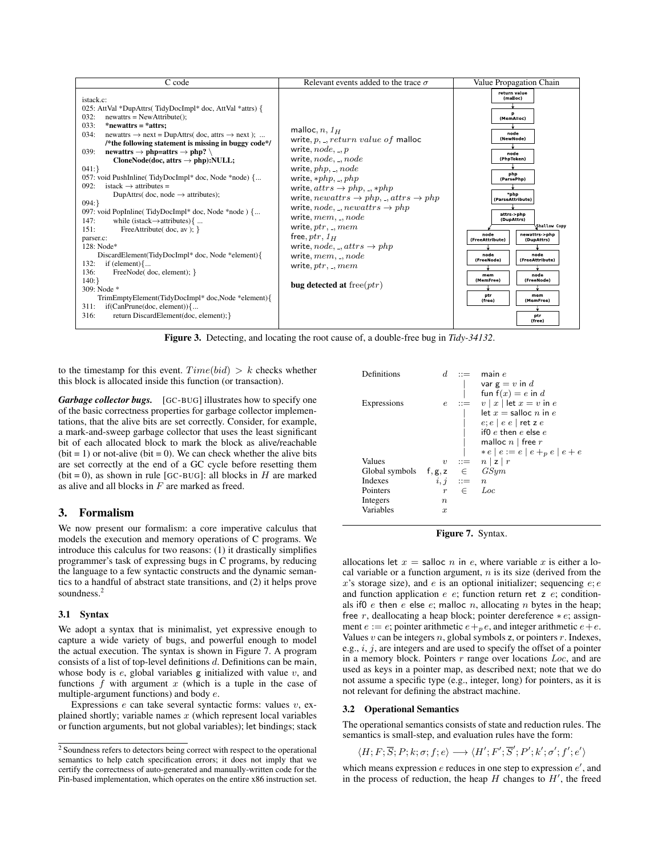| C code                                                                                                                                                                                                                                                                                                                                                                                                                                                                                                                                                                                                                                                                                                                                                                                                                                                                                                                                                                                                                                                              | Relevant events added to the trace $\sigma$                                                                                                                                                                                                                                                                                                                                                                                                                                                                                                                | Value Propagation Chain                                                                                                                                                                                                                                                                                                                                                                        |
|---------------------------------------------------------------------------------------------------------------------------------------------------------------------------------------------------------------------------------------------------------------------------------------------------------------------------------------------------------------------------------------------------------------------------------------------------------------------------------------------------------------------------------------------------------------------------------------------------------------------------------------------------------------------------------------------------------------------------------------------------------------------------------------------------------------------------------------------------------------------------------------------------------------------------------------------------------------------------------------------------------------------------------------------------------------------|------------------------------------------------------------------------------------------------------------------------------------------------------------------------------------------------------------------------------------------------------------------------------------------------------------------------------------------------------------------------------------------------------------------------------------------------------------------------------------------------------------------------------------------------------------|------------------------------------------------------------------------------------------------------------------------------------------------------------------------------------------------------------------------------------------------------------------------------------------------------------------------------------------------------------------------------------------------|
| istack.c:<br>025: AttVal *DupAttrs(TidyDocImpl* doc, AttVal *attrs) {<br>032:<br>$newatts = NewAttribute()$ :<br>033:<br>$*newattrs = *attrs:$<br>034:<br>newattrs $\rightarrow$ next = DupAttrs( doc, attrs $\rightarrow$ next);<br>/*the following statement is missing in buggy code*/<br>039:<br>newattrs $\rightarrow$ php=attrs $\rightarrow$ php?<br>CloneNode(doc, attrs $\rightarrow$ php):NULL;<br>041:<br>057: void PushInline(TidyDocImpl* doc, Node *node) {<br>$istack \rightarrow attributes =$<br>092:<br>DupAttrs( $doc, node \rightarrow attributes$ );<br>$094:$ }<br>097: void PopInline(TidyDocImpl* doc, Node *node) {<br>147:<br>while (istack $\rightarrow$ attributes) {<br>151:<br>FreeAttribute( $doc, av$ ); }<br>parser.c:<br>128: Node*<br>DiscardElement(TidyDocImpl* doc, Node *element){<br>132:<br>if (element) $\{$<br>136:<br>FreeNode(doc, element); }<br>140:<br>309: Node *<br>TrimEmptyElement(TidyDocImpl* doc,Node *element){<br>311:<br>$if(CanPrune(doc, element))$ {<br>316:<br>return DiscardElement(doc, element); } | malloc, $n, 1H$<br>write, $p_{n}$ , return value of malloc<br>write, $node, \_, p$<br>write, $node, \ldots node$<br>write, $php, \ldots node$<br>write, $*php, \, ., \, php$<br>write, $attrs\rightarrow php, \_, *php$<br>write, $newatters \rightarrow php, \dots attrs \rightarrow php$<br>write, node, _, newattrs $\rightarrow php$<br>write, $mem, \ldots, node$<br>write, $ptr, \_, mem$<br>free, $ptr$ , $1_H$<br>write, $node, \_, attrs \rightarrow php$<br>write, $mem, \ldots, node$<br>write, $ptr, \_, mem$<br>bug detected at free( $ptr$ ) | return value<br>(malloc)<br>p<br>(MemAlloc)<br>node<br>(NewNode)<br>node<br>(PhpToken)<br>php<br>(ParsePhp)<br>*php<br>(ParseAttribute)<br>attrs >php<br>(DupAttrs)<br>Shallow Copy<br>newattrs >php<br>node<br>(FreeAttribute)<br>(DupAttrs)<br>node<br>node<br>(FreeNode)<br>(FreeAttribute)<br>node<br>mem<br>(MemFree)<br>(FreeNode)<br>ptr<br>mem<br>(free)<br>(MemFree)<br>ptr<br>(free) |

Figure 3. Detecting, and locating the root cause of, a double-free bug in *Tidy-34132*.

to the timestamp for this event.  $Time(bid) > k$  checks whether this block is allocated inside this function (or transaction).

*Garbage collector bugs.* [GC-BUG] illustrates how to specify one of the basic correctness properties for garbage collector implementations, that the alive bits are set correctly. Consider, for example, a mark-and-sweep garbage collector that uses the least significant bit of each allocated block to mark the block as alive/reachable  $(bit = 1)$  or not-alive (bit = 0). We can check whether the alive bits are set correctly at the end of a GC cycle before resetting them (bit = 0), as shown in rule [GC-BUG]: all blocks in  $H$  are marked as alive and all blocks in F are marked as freed.

## 3. Formalism

We now present our formalism: a core imperative calculus that models the execution and memory operations of C programs. We introduce this calculus for two reasons: (1) it drastically simplifies programmer's task of expressing bugs in C programs, by reducing the language to a few syntactic constructs and the dynamic semantics to a handful of abstract state transitions, and (2) it helps prove soundness.<sup>2</sup>

#### 3.1 Syntax

We adopt a syntax that is minimalist, yet expressive enough to capture a wide variety of bugs, and powerful enough to model the actual execution. The syntax is shown in Figure 7. A program consists of a list of top-level definitions  $d$ . Definitions can be main, whose body is  $e$ , global variables  $g$  initialized with value  $v$ , and functions  $f$  with argument  $x$  (which is a tuple in the case of multiple-argument functions) and body e.

Expressions  $e$  can take several syntactic forms: values  $v$ , explained shortly; variable names  $x$  (which represent local variables or function arguments, but not global variables); let bindings; stack



Figure 7. Syntax.

allocations let  $x =$  salloc n in e, where variable x is either a local variable or a function argument,  $n$  is its size (derived from the  $x$ 's storage size), and  $e$  is an optional initializer; sequencing  $e$ ;  $e$ and function application  $e$   $e$ ; function return ret  $z$   $e$ ; conditionals if0 e then e else e; malloc n, allocating n bytes in the heap; free r, deallocating a heap block; pointer dereference  $* e$ ; assignment  $e := e$ ; pointer arithmetic  $e +_p e$ , and integer arithmetic  $e + e$ . Values  $v$  can be integers  $n$ , global symbols  $z$ , or pointers  $r$ . Indexes, e.g.,  $i$ ,  $j$ , are integers and are used to specify the offset of a pointer in a memory block. Pointers  $r$  range over locations  $Loc$ , and are used as keys in a pointer map, as described next; note that we do not assume a specific type (e.g., integer, long) for pointers, as it is not relevant for defining the abstract machine.

#### 3.2 Operational Semantics

The operational semantics consists of state and reduction rules. The semantics is small-step, and evaluation rules have the form:

$$
\langle H; F; \overline{S}; P; k; \sigma; f; e \rangle \longrightarrow \langle H'; F'; \overline{S}'; P'; k'; \sigma'; f'; e' \rangle
$$

which means expression  $e$  reduces in one step to expression  $e'$ , and in the process of reduction, the heap  $H$  changes to  $H'$ , the freed

<sup>2</sup> Soundness refers to detectors being correct with respect to the operational semantics to help catch specification errors; it does not imply that we certify the correctness of auto-generated and manually-written code for the Pin-based implementation, which operates on the entire x86 instruction set.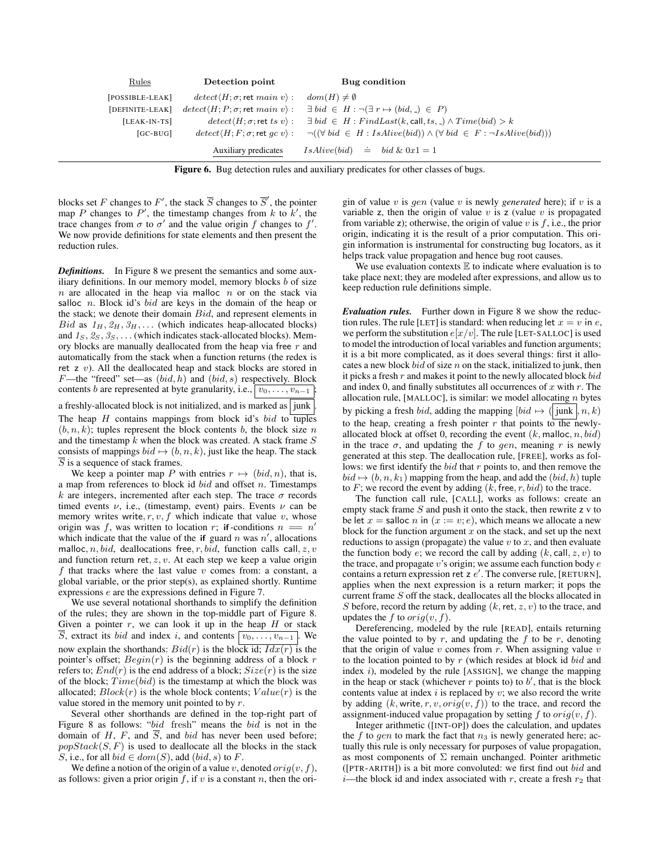| Rules            | Detection point                                           | Bug condition                                                                             |
|------------------|-----------------------------------------------------------|-------------------------------------------------------------------------------------------|
| $[POSIBLE-LEAK]$ | $detect(H; \sigma$ ; ret main v) :                        | $dom(H) \neq \emptyset$                                                                   |
| [DEFINITE-LEAK]  | $detect \langle H; P; \sigma;$ ret main v $\rangle$ :     | $\exists bid \in H : \neg(\exists r \mapsto (bid, \_) \in P)$                             |
| $[LEAK-IN-TS]$   | $detect(H; \sigma; \mathsf{ret}\;ts\;v)$ :                | $\exists bid \in H : FindLast(k, call, ts, \_) \land Time(bid) > k$                       |
| $[GC-BUG]$       | $detect \langle H; F; \sigma; \text{ret } qc v \rangle$ : | $\lnot((\forall bid \in H : IsAlive(bid)) \land (\forall bid \in F : \neg IsAlive(bid)))$ |
|                  | Auxiliary predicates                                      | $IsAlive(bid) \doteq bid \& 0x1 = 1$                                                      |

Figure 6. Bug detection rules and auxiliary predicates for other classes of bugs.

blocks set F changes to F', the stack  $\overline{S}$  changes to  $\overline{S}'$ , the pointer map P changes to P', the timestamp changes from k to  $k'$ , the trace changes from  $\sigma$  to  $\sigma'$  and the value origin f changes to f'. We now provide definitions for state elements and then present the reduction rules.

*Definitions.* In Figure 8 we present the semantics and some auxiliary definitions. In our memory model, memory blocks b of size  $n$  are allocated in the heap via malloc  $n$  or on the stack via salloc  $n$ . Block id's *bid* are keys in the domain of the heap or the stack; we denote their domain Bid, and represent elements in *Bid* as  $1_H$ ,  $2_H$ ,  $3_H$ ,... (which indicates heap-allocated blocks) and  $1_S, 2_S, 3_S, \ldots$  (which indicates stack-allocated blocks). Memory blocks are manually deallocated from the heap via free r and automatically from the stack when a function returns (the redex is ret  $z$  v). All the deallocated heap and stack blocks are stored in  $F$ —the "freed" set—as  $(bid, h)$  and  $(bid, s)$  respectively. Block contents b are represented at byte granularity, i.e.,  $\boxed{v_0, \ldots, v_{n-1}}$ a freshly-allocated block is not initialized, and is marked as  $\vert$  junk The heap  $H$  contains mappings from block id's bid to tuples  $(b, n, k)$ ; tuples represent the block contents b, the block size n and the timestamp  $k$  when the block was created. A stack frame  $S$ consists of mappings  $bid \mapsto (b, n, k)$ , just like the heap. The stack  $\overline{S}$  is a sequence of stack frames.

We keep a pointer map P with entries  $r \mapsto (bid, n)$ , that is, a map from references to block id  $bid$  and offset n. Timestamps k are integers, incremented after each step. The trace  $\sigma$  records timed events  $\nu$ , i.e., (timestamp, event) pairs. Events  $\nu$  can be memory writes write,  $r, v, f$  which indicate that value v, whose origin was f, was written to location r; if -conditions  $n = n'$ which indicate that the value of the if guard  $n$  was  $n'$ , allocations malloc, n, bid, deallocations free, r, bid, function calls call,  $z$ , v and function return ret,  $z, v$ . At each step we keep a value origin f that tracks where the last value  $v$  comes from: a constant, a global variable, or the prior step(s), as explained shortly. Runtime expressions e are the expressions defined in Figure 7.

We use several notational shorthands to simplify the definition of the rules; they are shown in the top-middle part of Figure 8. Given a pointer  $r$ , we can look it up in the heap  $H$  or stack  $\overline{S}$ , extract its *bid* and index *i*, and contents  $\overline{(v_0, \ldots, v_{n-1})}$ . We now explain the shorthands:  $Bid(r)$  is the block id;  $Idx(r)$  is the pointer's offset;  $Begin(r)$  is the beginning address of a block r refers to;  $End(r)$  is the end address of a block;  $Size(r)$  is the size of the block;  $Time(bid)$  is the timestamp at which the block was allocated;  $Block(r)$  is the whole block contents;  $Value(r)$  is the value stored in the memory unit pointed to by  $r$ .

Several other shorthands are defined in the top-right part of Figure 8 as follows: "bid fresh" means the bid is not in the domain of H, F, and  $\overline{S}$ , and bid has never been used before;  $popStack(S, F)$  is used to deallocate all the blocks in the stack S, i.e., for all  $bid \in dom(S)$ , add  $(bid, s)$  to F.

We define a notion of the origin of a value v, denoted  $\text{orig}(v, f)$ , as follows: given a prior origin  $f$ , if  $v$  is a constant  $n$ , then the origin of value v is gen (value v is newly *generated* here); if v is a variable z, then the origin of value  $v$  is z (value  $v$  is propagated from variable z); otherwise, the origin of value v is  $f$ , i.e., the prior origin, indicating it is the result of a prior computation. This origin information is instrumental for constructing bug locators, as it helps track value propagation and hence bug root causes.

We use evaluation contexts  $E$  to indicate where evaluation is to take place next; they are modeled after expressions, and allow us to keep reduction rule definitions simple.

*Evaluation rules.* Further down in Figure 8 we show the reduction rules. The rule [LET] is standard: when reducing let  $x = v$  in e, we perform the substitution  $e[x/v]$ . The rule [LET-SALLOC] is used to model the introduction of local variables and function arguments; it is a bit more complicated, as it does several things: first it allocates a new block  $bid$  of size n on the stack, initialized to junk, then it picks a fresh  $r$  and makes it point to the newly allocated block  $bid$ and index 0, and finally substitutes all occurrences of  $x$  with  $r$ . The allocation rule, [MALLOC], is similar: we model allocating  $n$  bytes by picking a fresh bid, adding the mapping  $[bid \mapsto ( ]$  junk  $, n, k)$ to the heap, creating a fresh pointer r that points to the newlyallocated block at offset 0, recording the event  $(k, \text{malloc}, n, bid)$ in the trace  $\sigma$ , and updating the f to gen, meaning r is newly generated at this step. The deallocation rule, [FREE], works as follows: we first identify the  $bid$  that  $r$  points to, and then remove the  $bid \mapsto (b, n, k_1)$  mapping from the heap, and add the  $(bid, h)$  tuple to  $F$ ; we record the event by adding  $(k, \text{free}, r, bid)$  to the trace.

The function call rule, [CALL], works as follows: create an empty stack frame  $S$  and push it onto the stack, then rewrite  $z \vee v$  to be let  $x =$  salloc n in  $(x := v; e)$ , which means we allocate a new block for the function argument  $x$  on the stack, and set up the next reductions to assign (propagate) the value  $v$  to  $x$ , and then evaluate the function body e; we record the call by adding  $(k, \text{call}, z, v)$  to the trace, and propagate  $v$ 's origin; we assume each function body  $e$ contains a return expression ret z  $e'$ . The converse rule, [RETURN], applies when the next expression is a return marker; it pops the current frame S off the stack, deallocates all the blocks allocated in S before, record the return by adding  $(k, \text{ret}, z, v)$  to the trace, and updates the f to  $orig(v, f)$ .

Dereferencing, modeled by the rule [READ], entails returning the value pointed to by  $r$ , and updating the f to be  $r$ , denoting that the origin of value  $v$  comes from  $r$ . When assigning value  $v$ to the location pointed to by  $r$  (which resides at block id  $bid$  and index  $i$ ), modeled by the rule [ASSIGN], we change the mapping in the heap or stack (whichever  $r$  points to) to  $b'$ , that is the block contents value at index  $i$  is replaced by  $v$ ; we also record the write by adding  $(k, \text{write}, r, v, \text{orig}(v, f))$  to the trace, and record the assignment-induced value propagation by setting f to  $orig(v, f)$ .

Integer arithmetic ([INT-OP]) does the calculation, and updates the f to gen to mark the fact that  $n_3$  is newly generated here; actually this rule is only necessary for purposes of value propagation, as most components of  $\Sigma$  remain unchanged. Pointer arithmetic ([PTR-ARITH]) is a bit more convoluted: we first find out bid and *i*—the block id and index associated with r, create a fresh  $r_2$  that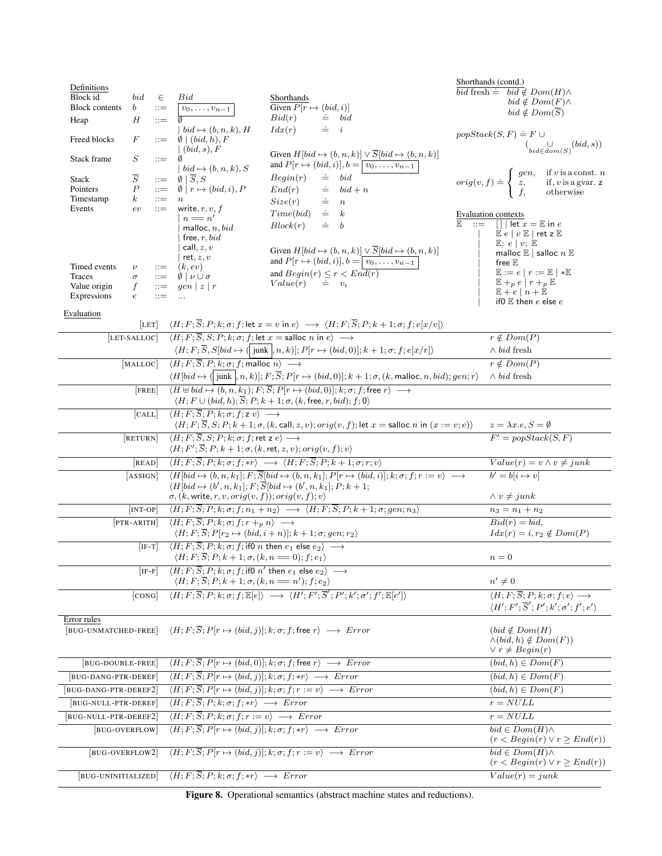| Definitions<br>Block id<br><b>Block contents</b><br>Heap            | bid<br>$\boldsymbol{b}$<br>Н                                 | $\in$<br>$::=$<br>$::=$                                                        | $v_0,\ldots,v_{n-1}$                                                                                                                                                                                                | Shorthands<br>Given $P[r \mapsto (bid, i)]$<br>Bid(r)<br>$\dot{=}$ bid                                                                                                                                                                       | Shorthands (contd.)<br>bid fresh $\dot{=}$ bid $\notin Dom(H) \wedge$<br>$bid \notin Dom(F) \wedge$<br>$bid \notin Dom(\overline{S})$                                                                                                                                 |
|---------------------------------------------------------------------|--------------------------------------------------------------|--------------------------------------------------------------------------------|---------------------------------------------------------------------------------------------------------------------------------------------------------------------------------------------------------------------|----------------------------------------------------------------------------------------------------------------------------------------------------------------------------------------------------------------------------------------------|-----------------------------------------------------------------------------------------------------------------------------------------------------------------------------------------------------------------------------------------------------------------------|
| Freed blocks                                                        | F                                                            | $::=$                                                                          | $bid \mapsto (b, n, k), H$<br>$\emptyset \mid (bid, h), F$                                                                                                                                                          | $\dot{=}$ <i>i</i><br>Idx(r)                                                                                                                                                                                                                 | $popStack(S, F) \doteq F \cup$<br>$\left(\bigcup_{bid \in dom(S)}(bid, s)\right)$                                                                                                                                                                                     |
| Stack frame                                                         | $\cal S$                                                     | $::=$                                                                          | $(bid, s)$ , F<br>$bid \mapsto (b, n, k), S$                                                                                                                                                                        | Given $H[bid \mapsto (b, n, k)] \vee \overline{S}[bid \mapsto (b, n, k)]$<br>and $P[r \mapsto (bid, i)], b = \boxed{v_0, \ldots, v_{n-1}}$                                                                                                   |                                                                                                                                                                                                                                                                       |
| Stack<br>Pointers<br>Timestamp<br>Events                            | $\overline{S}$<br>$\boldsymbol{P}$<br>$\boldsymbol{k}$<br>ev | $\mathrel{\mathop:}=$<br>$\mathbf{H} = \mathbf{H}$<br>$\equiv$<br>$\mathbf{m}$ | $\emptyset$   $\overline{S}$ , S<br>$\emptyset \mid r \mapsto (bid, i), P$<br>write, $r, v, f$<br>$n == n'$<br>malloc, $n, bid$<br>free, $r, bid$                                                                   | $\doteq$ $\hspace{0.1cm} bid$<br>Begin(r)<br>End(r)<br>$\dot{=}$ bid + n<br>$\dot{=}$ $n$<br>Size(r)<br>$Time(bid) \cong k$<br>$\dot{=}$ b<br>Block(r)                                                                                       | if $v$ is a const. $n$<br>if, $v$ is a gvar. $z$<br>otherwise<br>$orig(v, f) \doteq \left\{ \begin{array}{l} gen, \\ z, \\ f, \end{array} \right.$<br>Evaluation contexts<br>$\sqrt{\int \det x} = \mathbb{E}$ in e<br>$\mathbf{r} =$<br>E<br>$E e   v E  $ ret z $E$ |
| Timed events<br>Traces<br>Value origin<br>Expressions<br>Evaluation | $\nu$<br>$\sigma$<br>f<br>$\epsilon$                         | $::=$<br>$::=$<br>$\mathbf{r} =$<br>$::=$                                      | call, $z, v$<br>ret, $z, v$<br>(k, ev)<br>$\emptyset$   $\nu \cup \sigma$<br>$gen \mid z \mid r$<br>$\ddotsc$                                                                                                       | Given $H[bid \mapsto (b, n, k)] \vee \overline{S}[bid \mapsto (b, n, k)]$<br>and $P[r \mapsto (bid, i)], b = \boxed{v_0, \ldots, v_{n-1}}$<br>and $Begin(r) \leq r < End(r)$<br>Value(r)<br>$= v_i$                                          | E; e   v; E<br>malloc $\mathbb E$   salloc $n \mathbb E$<br>free $\mathbb E$<br>$\mathbb{E} := e   r := \mathbb{E}   * \mathbb{E}$<br>$E +_p e \mid r +_p E$<br>$E+e n+E$<br>if 0 $E$ then $e$ else $e$                                                               |
|                                                                     |                                                              | [LET]                                                                          | $\langle H; F; \overline{S}, S; P; k; \sigma; f \rangle$ let $x =$ salloc n in $e \rangle \longrightarrow$                                                                                                          | $\langle H; F; \overline{S}; P; k; \sigma; f;$ let $x = v$ in $e \rangle \longrightarrow \langle H; F; \overline{S}; P; k + 1; \sigma; f; e[x/v] \rangle$                                                                                    |                                                                                                                                                                                                                                                                       |
|                                                                     | [LET-SALLOC]                                                 |                                                                                |                                                                                                                                                                                                                     | $\langle H; F; \overline{S}, S[bid \mapsto (\overline{junk}, n, k)]; P[r \mapsto (bid, 0)]; k+1; \sigma; f; e[x/r])$                                                                                                                         | $r \notin Dom(P)$<br>$\wedge bid$ fresh                                                                                                                                                                                                                               |
|                                                                     | [MALLOC]                                                     |                                                                                | $\overline{\langle H; F; \overline{S}; P; k; \sigma; f; \text{malloc} \ n \rangle}$ $\longrightarrow$                                                                                                               |                                                                                                                                                                                                                                              | $r \notin Dom(P)$                                                                                                                                                                                                                                                     |
|                                                                     |                                                              |                                                                                |                                                                                                                                                                                                                     | $\langle H[bid \mapsto ( junk], n, k)]; F; \overline{S}; P[r \mapsto (bid, 0)]; k + 1; \sigma, (k, \text{malloc}, n, bid); gen; r \rangle$                                                                                                   | $\wedge bid$ fresh                                                                                                                                                                                                                                                    |
|                                                                     | <b>FREE</b>                                                  |                                                                                |                                                                                                                                                                                                                     | $\overline{(H \oplus bid \mapsto (b, n, k_1); F; \overline{S}; P   r \mapsto (bid, 0); k; \sigma; f; \text{free } r} \longrightarrow$<br>$\langle H; F \cup (bid, h); \overline{S}; P; k+1; \sigma, (k, \text{free}, r, bid); f; 0 \rangle$  |                                                                                                                                                                                                                                                                       |
|                                                                     | [CALL]                                                       |                                                                                | $\overline{\langle H; F; \overline{S}; P; k; \sigma; f; \mathsf{z} \, v \rangle} \longrightarrow$                                                                                                                   | $\langle H; F; \overline{S}, S; P; k+1; \sigma, (k, \text{call}, z, v); orig(v, f); \text{let } x = \text{salloc } n \text{ in } (x := v; e) \rangle$                                                                                        | $z = \lambda x.e, S = \emptyset$                                                                                                                                                                                                                                      |
|                                                                     | [RETURN]                                                     |                                                                                | $\langle H; F; \overline{S}, S; P; k; \sigma; f; \text{ret } z e \rangle \longrightarrow$<br>$\langle H;F';\overline{S};P;k+1;\sigma, (k,\mathsf{ret},z,v);orig(v,f);v\rangle$                                      |                                                                                                                                                                                                                                              | $F' = popStack(S, F)$                                                                                                                                                                                                                                                 |
|                                                                     | [RED]                                                        |                                                                                |                                                                                                                                                                                                                     | $\langle H; F; \overline{S}; P; k; \sigma; f; *r \rangle \longrightarrow \langle H; F; \overline{S}; P; k+1; \sigma; r; v \rangle$                                                                                                           | $Value(r) = v \wedge v \neq junk$                                                                                                                                                                                                                                     |
|                                                                     | [ASSIGN]                                                     |                                                                                | $\sigma, (k, write, r, v, orig(v, f)); orig(v, f); v)$                                                                                                                                                              | $\langle H[bid \mapsto (b, n, k_1]; F; \overline{S}[bid \mapsto (b, n, k_1]; P[r \mapsto (bid, i)]; k; \sigma; f; r := v \rangle \longrightarrow$<br>$\langle H[bid \mapsto (b', n, k_1]; F; \overline{S}[bid \mapsto (b', n, k_1]; P; k+1;$ | $b' = b[i \mapsto v]$<br>$\land v \neq junk$                                                                                                                                                                                                                          |
|                                                                     | [INT-OP]                                                     |                                                                                |                                                                                                                                                                                                                     | $\langle H; F; \overline{S}; P; k; \sigma; f; n_1+n_2 \rangle \longrightarrow \langle H; F; \overline{S}; P; k+1; \sigma; gen; n_3 \rangle$                                                                                                  | $n_3 = n_1 + n_2$                                                                                                                                                                                                                                                     |
|                                                                     | [PTR-ARITH]                                                  |                                                                                | $\langle H; F; \overline{S}; P; k; \sigma; f; r +_p n \rangle \longrightarrow$<br>$\langle H; F; \overline{S}; P[r_2 \mapsto (bid, i+n)]; k+1; \sigma; gen; r_2 \rangle$                                            |                                                                                                                                                                                                                                              | $Bid(r) = bid$ ,<br>$Idx(r) = i, r_2 \notin Dom(P)$                                                                                                                                                                                                                   |
|                                                                     | $[IF-T]$                                                     |                                                                                | $\langle H; F; \overline{S}; P; k; \sigma; f; \text{if} 0 \text{ } n \text{ then } e_1 \text{ else } e_2 \rangle \longrightarrow$<br>$\langle H;F;\overline{S};P;k+1;\sigma, (k,n=0);f;e_1\rangle$                  |                                                                                                                                                                                                                                              | $n=0$                                                                                                                                                                                                                                                                 |
|                                                                     |                                                              | $[IF-F]$                                                                       | $\overline{\langle H; F; \overline{S}; P; k; \sigma; f; \text{if}0 \; n' \text{ then } e_1 \text{ else } e_2 \rangle} \longrightarrow$<br>$\langle H; F; \overline{S}; P; k+1; \sigma, (k, n = n'); f; e_2 \rangle$ |                                                                                                                                                                                                                                              | $n' \neq 0$                                                                                                                                                                                                                                                           |
|                                                                     | [CONG]                                                       |                                                                                |                                                                                                                                                                                                                     | $\langle H; F; \overline{S}; P; k; \sigma; f; \mathbb{E}[e] \rangle \longrightarrow \langle H'; F'; \overline{S}'; P'; k'; \sigma'; f'; \mathbb{E}[e'] \rangle$                                                                              | $\langle H; F; \overline{S}; P; k; \sigma; f; e \rangle \longrightarrow$<br>$\langle H';F';\overline{S}';P';k';\sigma';f';e'\rangle$                                                                                                                                  |
| Error rules<br>[BUG-UNMATCHED-FREE]                                 |                                                              |                                                                                |                                                                                                                                                                                                                     | $\langle H; F; \overline{S}; P[r \mapsto (bid, j)]; k; \sigma; f; \text{free } r \rangle \longrightarrow Error$                                                                                                                              | $(bid \notin Dom(H)$<br>$\wedge (bid, h) \notin Dom(F))$<br>$\vee r \neq Begin(r)$                                                                                                                                                                                    |
| [BUG-DOUBLE-FREE]                                                   |                                                              |                                                                                |                                                                                                                                                                                                                     | $\overline{\langle H; F; \overline{S}; P   r \mapsto (bid, 0)  ; k; \sigma; f; \text{free } r \rangle} \longrightarrow Error$                                                                                                                | $(bid, h) \in Dom(F)$                                                                                                                                                                                                                                                 |
| [BUG-DANG-PTR-DEREF]                                                |                                                              |                                                                                | $\langle H; F; \overline{S}; P r \mapsto (bid, j) ; k; \sigma; f; *r \rangle \longrightarrow Error$                                                                                                                 |                                                                                                                                                                                                                                              | $(bid, h) \in Dom(F)$                                                                                                                                                                                                                                                 |
| BUG-DANG-PTR-DEREF2                                                 |                                                              |                                                                                |                                                                                                                                                                                                                     | $\langle H; F; \overline{S}; P[r \mapsto (bid, j)]; k; \sigma; f; r := v \rangle \longrightarrow Error$                                                                                                                                      | $(bid, h) \in Dom(F)$                                                                                                                                                                                                                                                 |
| [BUG-NULL-PTR-DEREF]                                                |                                                              |                                                                                | $\langle H; F; \overline{S}; P; k; \sigma; f; *r \rangle \longrightarrow Error$                                                                                                                                     |                                                                                                                                                                                                                                              | $r = NULL$                                                                                                                                                                                                                                                            |
| [BUG-NULL-PTR-DEREF2]                                               |                                                              |                                                                                | $\langle H; F; \overline{S}; P; k; \sigma; f; r := v \rangle \longrightarrow Error$                                                                                                                                 |                                                                                                                                                                                                                                              | $r=NULL$                                                                                                                                                                                                                                                              |
| <b>BUG-OVERFLOW</b>                                                 |                                                              |                                                                                | $\langle H; F; \overline{S}; P r \mapsto (bid, j) ; k; \sigma; f; *r \rangle \longrightarrow Error$                                                                                                                 |                                                                                                                                                                                                                                              | $bid \in Dom(H) \wedge$<br>$(r < \text{Begin}(r) \lor r \geq \text{End}(r))$                                                                                                                                                                                          |
| [BUG-OVERFLOW2]                                                     |                                                              |                                                                                |                                                                                                                                                                                                                     | $\langle H; F; \overline{S}; P r \mapsto (bid, j) ; k; \sigma; f; r := v \rangle \longrightarrow Error$                                                                                                                                      | $bid \in Dom(H) \wedge$<br>$(r < \text{Begin}(r) \lor r \geq \text{End}(r))$                                                                                                                                                                                          |
| [BUG-UNINITIALIZED]                                                 |                                                              |                                                                                | $\langle H; F; \overline{S}; P; k; \sigma; f; *r \rangle \longrightarrow Error$                                                                                                                                     |                                                                                                                                                                                                                                              | $Value(r) = junk$                                                                                                                                                                                                                                                     |

Figure 8. Operational semantics (abstract machine states and reductions).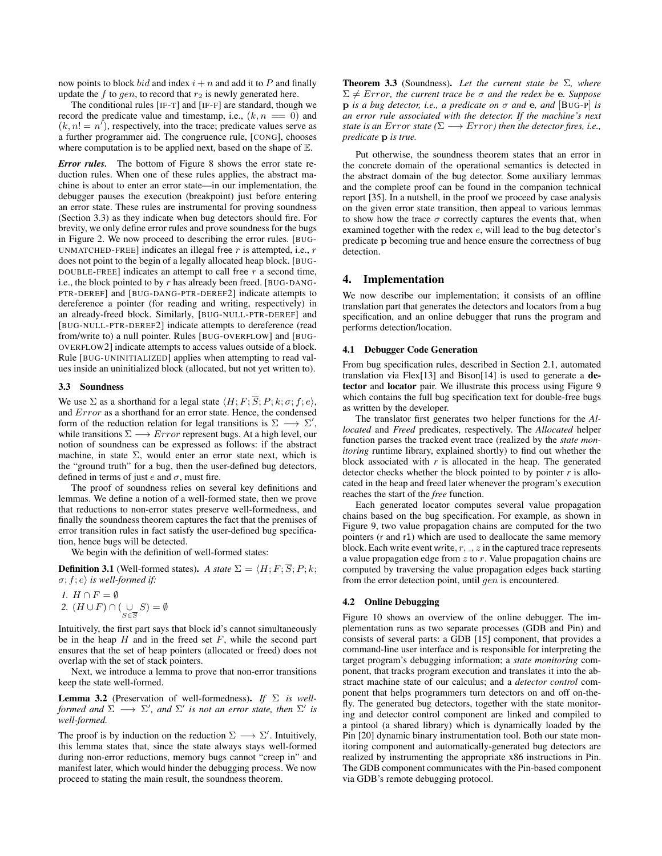now points to block *bid* and index  $i + n$  and add it to P and finally update the f to gen, to record that  $r_2$  is newly generated here.

The conditional rules [IF-T] and [IF-F] are standard, though we record the predicate value and timestamp, i.e.,  $(k, n == 0)$  and  $(k, n! = n')$ , respectively, into the trace; predicate values serve as a further programmer aid. The congruence rule, [CONG], chooses where computation is to be applied next, based on the shape of E.

*Error rules.* The bottom of Figure 8 shows the error state reduction rules. When one of these rules applies, the abstract machine is about to enter an error state—in our implementation, the debugger pauses the execution (breakpoint) just before entering an error state. These rules are instrumental for proving soundness (Section 3.3) as they indicate when bug detectors should fire. For brevity, we only define error rules and prove soundness for the bugs in Figure 2. We now proceed to describing the error rules. [BUG-UNMATCHED-FREE] indicates an illegal free  $r$  is attempted, i.e.,  $r$ does not point to the begin of a legally allocated heap block. [BUG-DOUBLE-FREE] indicates an attempt to call free  $r$  a second time, i.e., the block pointed to by  $r$  has already been freed. [BUG-DANG-PTR-DEREF] and [BUG-DANG-PTR-DEREF2] indicate attempts to dereference a pointer (for reading and writing, respectively) in an already-freed block. Similarly, [BUG-NULL-PTR-DEREF] and [BUG-NULL-PTR-DEREF2] indicate attempts to dereference (read from/write to) a null pointer. Rules [BUG-OVERFLOW] and [BUG-OVERFLOW2] indicate attempts to access values outside of a block. Rule [BUG-UNINITIALIZED] applies when attempting to read values inside an uninitialized block (allocated, but not yet written to).

#### 3.3 Soundness

We use  $\Sigma$  as a shorthand for a legal state  $\langle H; F; \overline{S}; P; k; \sigma; f; e \rangle$ , and Error as a shorthand for an error state. Hence, the condensed form of the reduction relation for legal transitions is  $\Sigma \longrightarrow \Sigma'$ , while transitions  $\Sigma \longrightarrow Error$  represent bugs. At a high level, our notion of soundness can be expressed as follows: if the abstract machine, in state  $\Sigma$ , would enter an error state next, which is the "ground truth" for a bug, then the user-defined bug detectors, defined in terms of just e and  $\sigma$ , must fire.

The proof of soundness relies on several key definitions and lemmas. We define a notion of a well-formed state, then we prove that reductions to non-error states preserve well-formedness, and finally the soundness theorem captures the fact that the premises of error transition rules in fact satisfy the user-defined bug specification, hence bugs will be detected.

We begin with the definition of well-formed states:

**Definition 3.1** (Well-formed states). *A state*  $\Sigma = \langle H; F; \overline{S}; P; k; \rangle$  $\sigma$ ;  $f$ ;  $e$ *)* is well-formed if:

*1.*  $H \cap F = \emptyset$ 2.  $(H \cup F) \cap (\bigcup_{S \in \overline{S}} S) = \emptyset$ 

Intuitively, the first part says that block id's cannot simultaneously be in the heap  $H$  and in the freed set  $F$ , while the second part ensures that the set of heap pointers (allocated or freed) does not overlap with the set of stack pointers.

Next, we introduce a lemma to prove that non-error transitions keep the state well-formed.

Lemma 3.2 (Preservation of well-formedness). *If* Σ *is wellformed and*  $\Sigma \longrightarrow \Sigma'$ , and  $\Sigma'$  is not an error state, then  $\Sigma'$  is *well-formed.*

The proof is by induction on the reduction  $\Sigma \longrightarrow \Sigma'$ . Intuitively, this lemma states that, since the state always stays well-formed during non-error reductions, memory bugs cannot "creep in" and manifest later, which would hinder the debugging process. We now proceed to stating the main result, the soundness theorem.

Theorem 3.3 (Soundness). *Let the current state be* Σ*, where*  $\Sigma \neq Error$ , the current trace be  $\sigma$  and the redex be **e**. Suppose **p** *is a bug detector, i.e., a predicate on*  $\sigma$  *and* **e**, *and* [BUG-P] *is an error rule associated with the detector. If the machine's next state is an Error state* ( $\Sigma \longrightarrow Error$ ) *then the detector fires, i.e., predicate* p *is true.*

Put otherwise, the soundness theorem states that an error in the concrete domain of the operational semantics is detected in the abstract domain of the bug detector. Some auxiliary lemmas and the complete proof can be found in the companion technical report [35]. In a nutshell, in the proof we proceed by case analysis on the given error state transition, then appeal to various lemmas to show how the trace  $\sigma$  correctly captures the events that, when examined together with the redex e, will lead to the bug detector's predicate p becoming true and hence ensure the correctness of bug detection.

## 4. Implementation

We now describe our implementation; it consists of an offline translation part that generates the detectors and locators from a bug specification, and an online debugger that runs the program and performs detection/location.

#### 4.1 Debugger Code Generation

From bug specification rules, described in Section 2.1, automated translation via Flex[13] and Bison[14] is used to generate a detector and locator pair. We illustrate this process using Figure 9 which contains the full bug specification text for double-free bugs as written by the developer.

The translator first generates two helper functions for the *Allocated* and *Freed* predicates, respectively. The *Allocated* helper function parses the tracked event trace (realized by the *state monitoring* runtime library, explained shortly) to find out whether the block associated with  $r$  is allocated in the heap. The generated detector checks whether the block pointed to by pointer *r* is allocated in the heap and freed later whenever the program's execution reaches the start of the *free* function.

Each generated locator computes several value propagation chains based on the bug specification. For example, as shown in Figure 9, two value propagation chains are computed for the two pointers (r and r1) which are used to deallocate the same memory block. Each write event write,  $r, z$  in the captured trace represents a value propagation edge from  $z$  to  $r$ . Value propagation chains are computed by traversing the value propagation edges back starting from the error detection point, until gen is encountered.

### 4.2 Online Debugging

Figure 10 shows an overview of the online debugger. The implementation runs as two separate processes (GDB and Pin) and consists of several parts: a GDB [15] component, that provides a command-line user interface and is responsible for interpreting the target program's debugging information; a *state monitoring* component, that tracks program execution and translates it into the abstract machine state of our calculus; and a *detector control* component that helps programmers turn detectors on and off on-thefly. The generated bug detectors, together with the state monitoring and detector control component are linked and compiled to a pintool (a shared library) which is dynamically loaded by the Pin [20] dynamic binary instrumentation tool. Both our state monitoring component and automatically-generated bug detectors are realized by instrumenting the appropriate x86 instructions in Pin. The GDB component communicates with the Pin-based component via GDB's remote debugging protocol.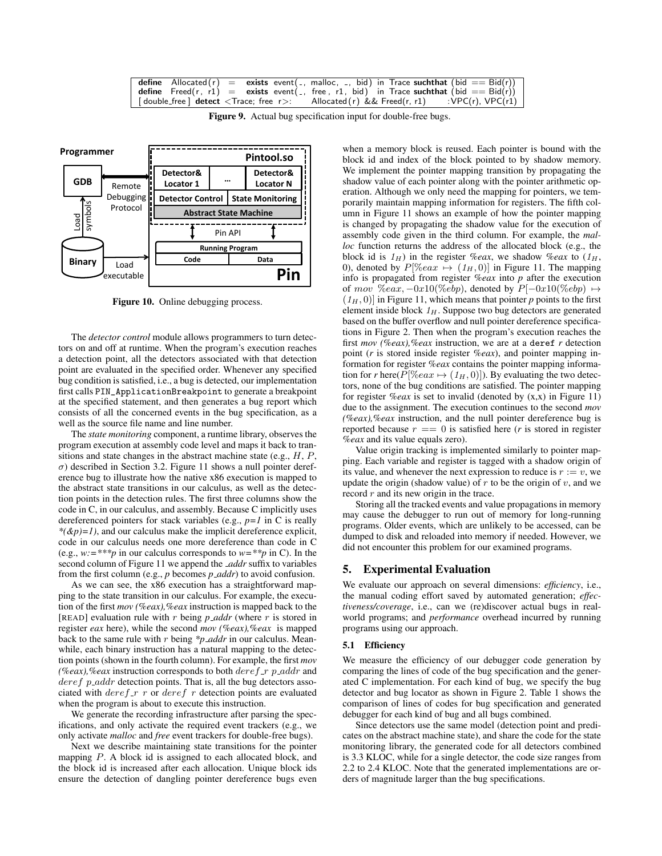|  |  | define Allocated $(r)$ = exists event $($ , malloc, , bid) in Trace such that $(bid == Bid(r))$ |
|--|--|-------------------------------------------------------------------------------------------------|
|  |  | define $Freed(r, r1)$ = exists event(-, free, r1, bid) in Trace suchthat (bid == $Bid(r)$ )     |
|  |  | $\lceil$ double_free $\rceil$ detect $\lt$ Trace; free r>: Allocated(r) && Freed(r, r1)         |

Figure 9. Actual bug specification input for double-free bugs.



Figure 10. Online debugging process.

The *detector control* module allows programmers to turn detectors on and off at runtime. When the program's execution reaches a detection point, all the detectors associated with that detection point are evaluated in the specified order. Whenever any specified bug condition is satisfied, i.e., a bug is detected, our implementation first calls PIN\_ApplicationBreakpoint to generate a breakpoint at the specified statement, and then generates a bug report which consists of all the concerned events in the bug specification, as a well as the source file name and line number.

The *state monitoring* component, a runtime library, observes the program execution at assembly code level and maps it back to transitions and state changes in the abstract machine state (e.g., H, P, σ) described in Section 3.2. Figure 11 shows a null pointer dereference bug to illustrate how the native x86 execution is mapped to the abstract state transitions in our calculus, as well as the detection points in the detection rules. The first three columns show the code in C, in our calculus, and assembly. Because C implicitly uses dereferenced pointers for stack variables (e.g., *p=1* in C is really *\*(&p)=1)*, and our calculus make the implicit dereference explicit, code in our calculus needs one more dereference than code in C (e.g., *w:=\*\*\*p* in our calculus corresponds to *w=\*\*p* in C). In the second column of Figure 11 we append the *addr* suffix to variables from the first column (e.g., *p* becomes *p addr*) to avoid confusion.

As we can see, the x86 execution has a straightforward mapping to the state transition in our calculus. For example, the execution of the first *mov (%eax),%eax* instruction is mapped back to the [READ] evaluation rule with r being *p addr* (where r is stored in register *eax* here), while the second *mov (%eax),%eax* is mapped back to the same rule with r being *\*p addr* in our calculus. Meanwhile, each binary instruction has a natural mapping to the detection points (shown in the fourth column). For example, the first *mov (%eax),%eax* instruction corresponds to both *deref\_r p\_addr* and  $deref$   $p\_addr$  detection points. That is, all the bug detectors associated with  $deref\ r$  or  $deref\ r$  detection points are evaluated when the program is about to execute this instruction.

We generate the recording infrastructure after parsing the specifications, and only activate the required event trackers (e.g., we only activate *malloc* and *free* event trackers for double-free bugs).

Next we describe maintaining state transitions for the pointer mapping P. A block id is assigned to each allocated block, and the block id is increased after each allocation. Unique block ids ensure the detection of dangling pointer dereference bugs even

when a memory block is reused. Each pointer is bound with the block id and index of the block pointed to by shadow memory. We implement the pointer mapping transition by propagating the shadow value of each pointer along with the pointer arithmetic operation. Although we only need the mapping for pointers, we temporarily maintain mapping information for registers. The fifth column in Figure 11 shows an example of how the pointer mapping is changed by propagating the shadow value for the execution of assembly code given in the third column. For example, the *malloc* function returns the address of the allocated block (e.g., the block id is  $1_H$ ) in the register *%eax*, we shadow *%eax* to  $(1_H, 1_H)$ 0), denoted by  $P[\%eax \mapsto (1_H, 0)]$  in Figure 11. The mapping info is propagated from register *%eax* into *p* after the execution of mov %eax,  $-0x10$ (%ebp), denoted by  $P[-0x10$ (%ebp)  $\mapsto$  $(1_H, 0)$ ] in Figure 11, which means that pointer *p* points to the first element inside block  $1_H$ . Suppose two bug detectors are generated based on the buffer overflow and null pointer dereference specifications in Figure 2. Then when the program's execution reaches the first *mov (%eax),%eax* instruction, we are at a deref *r* detection point (*r* is stored inside register *%eax*), and pointer mapping information for register *%eax* contains the pointer mapping information for *r* here( $P$ [%eax  $\mapsto$  (1<sub>H</sub>, 0)]). By evaluating the two detectors, none of the bug conditions are satisfied. The pointer mapping for register *%eax* is set to invalid (denoted by (x,x) in Figure 11) due to the assignment. The execution continues to the second *mov (%eax),%eax* instruction, and the null pointer dereference bug is reported because  $r == 0$  is satisfied here (*r* is stored in register *%eax* and its value equals zero).

Value origin tracking is implemented similarly to pointer mapping. Each variable and register is tagged with a shadow origin of its value, and whenever the next expression to reduce is  $r := v$ , we update the origin (shadow value) of  $r$  to be the origin of  $v$ , and we record  $r$  and its new origin in the trace.

Storing all the tracked events and value propagations in memory may cause the debugger to run out of memory for long-running programs. Older events, which are unlikely to be accessed, can be dumped to disk and reloaded into memory if needed. However, we did not encounter this problem for our examined programs.

## 5. Experimental Evaluation

We evaluate our approach on several dimensions: *efficiency*, i.e., the manual coding effort saved by automated generation; *effectiveness/coverage*, i.e., can we (re)discover actual bugs in realworld programs; and *performance* overhead incurred by running programs using our approach.

#### 5.1 Efficiency

We measure the efficiency of our debugger code generation by comparing the lines of code of the bug specification and the generated C implementation. For each kind of bug, we specify the bug detector and bug locator as shown in Figure 2. Table 1 shows the comparison of lines of codes for bug specification and generated debugger for each kind of bug and all bugs combined.

Since detectors use the same model (detection point and predicates on the abstract machine state), and share the code for the state monitoring library, the generated code for all detectors combined is 3.3 KLOC, while for a single detector, the code size ranges from 2.2 to 2.4 KLOC. Note that the generated implementations are orders of magnitude larger than the bug specifications.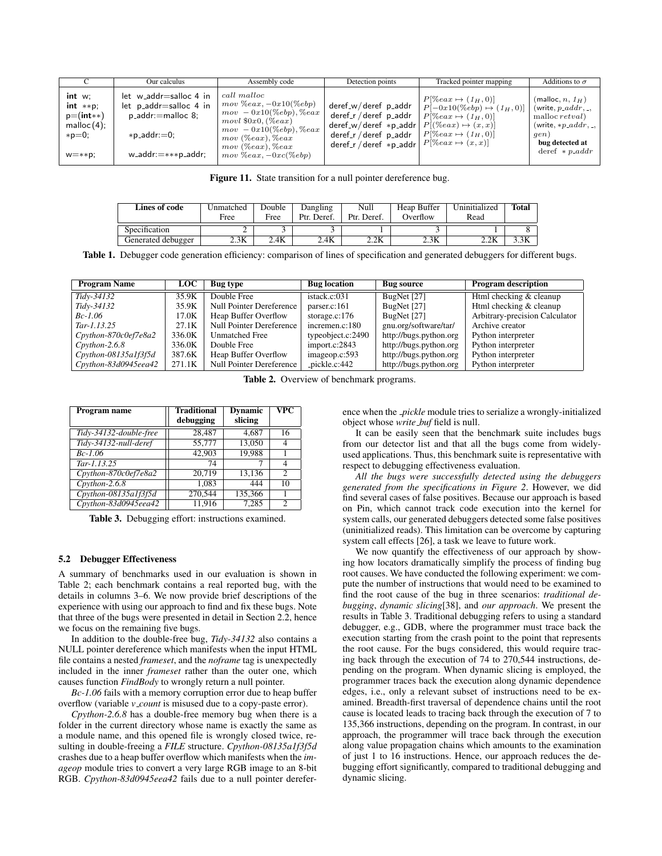|                                                                                      | Our calculus                                                                                                                         | Assembly code                                                                                                                                                                                                       | Detection points                                                                                                                   | Tracked pointer mapping                                                                                                                                                                   | Additions to $\sigma$                                                                                                                           |
|--------------------------------------------------------------------------------------|--------------------------------------------------------------------------------------------------------------------------------------|---------------------------------------------------------------------------------------------------------------------------------------------------------------------------------------------------------------------|------------------------------------------------------------------------------------------------------------------------------------|-------------------------------------------------------------------------------------------------------------------------------------------------------------------------------------------|-------------------------------------------------------------------------------------------------------------------------------------------------|
| int w<br>$int$ **p:<br>$p=$ (int**)<br>$m$ alloc $(4)$ ;<br>$*p=0$ :<br>$W = * *p$ ; | let w_addr=salloc 4 in<br>let p_addr=salloc 4 in<br>$p$ -addr: = malloc 8;<br>$\ast$ p_addr: $=$ 0;<br>$w$ _addr: $=$ *** $p$ _addr; | call malloc<br>$mov %eax, -0x10(&obp)$<br>$mov - 0x10(\%ebp), \%eax$<br>$movl$ \$0x0, $(\%ear)$<br>$mov - 0x10(\%ebp), \%eax$<br>$mov$ ( $\%eax$ ), $\%eax$<br>$mov$ ( $\%eax$ ), $\%eax$<br>$mov %eax, -0xc(&obp)$ | deref_w/deref p_addr<br>deref_r / deref p_addr<br>$deref_w/deref * p.addr$<br>deref_r / deref p_addr<br>$deref_r / deref * p.addr$ | $P[\%eax \mapsto (1_H, 0)]$<br>$P[-0x10(\%ebp) \mapsto (1_H, 0)]$<br>$P[\%eax \mapsto (1_H, 0)]$<br>$P[(\%eax) \mapsto (x,x)]$<br>$P[\%eax \mapsto (1_H, 0)]$<br>$P[\%eax \mapsto (x,x)]$ | (malloc, n, 1 <sub>H</sub> )<br>(write, $p\_addr$ ,<br>malloc retval)<br>(write, $*p\_addr$ ,<br>qen)<br>bug detected at<br>deref $\ast$ p_addr |

Figure 11. State transition for a null pointer dereference bug.

| Lines of code      | Jnmatched<br>Free | Double<br>Free | Dangling<br>Ptr. Deref. | Null<br>Ptr. Deref. | Heap Buffer<br>Overflow | Uninitialized<br>Read | <b>Total</b> |
|--------------------|-------------------|----------------|-------------------------|---------------------|-------------------------|-----------------------|--------------|
| Specification      | ∸                 |                |                         |                     |                         |                       |              |
| Generated debugger | 2.3K              | 2.4K           | 2.4K                    | 2.2K                | 2.3K                    | 2.2K                  | 3.3K         |

Table 1. Debugger code generation efficiency: comparison of lines of specification and generated debuggers for different bugs.

| <b>Program Name</b>                 | LOC .  | Bug type                    | <b>Bug</b> location | <b>Bug source</b>      | <b>Program description</b>     |
|-------------------------------------|--------|-----------------------------|---------------------|------------------------|--------------------------------|
| Tidy-34132                          | 35.9K  | Double Free                 | istack.c:031        | BugNet [27]            | Html checking & cleanup        |
| Tidy-34132                          | 35.9K  | Null Pointer Dereference    | parser.c:161        | BugNet [27]            | Html checking & cleanup        |
| $Bc-1.06$                           | 17.0K  | Heap Buffer Overflow        | storage.c: $176$    | BugNet [27]            | Arbitrary-precision Calculator |
| $Tar-1.13.25$                       | 27.1K  | Null Pointer Dereference    | incremen.c:180      | gnu.org/software/tar/  | Archive creator                |
| Cpython-870c0ef7e8a2                | 336.0K | <b>Unmatched Free</b>       | typeobject.c:2490   | http://bugs.python.org | Python interpreter             |
| $C$ <i>p</i> $y$ <i>thon</i> -2.6.8 | 336.0K | Double Free                 | import.c:2843       | http://bugs.python.org | Python interpreter             |
| $C$ python-08135a1f3f5d             | 387.6K | <b>Heap Buffer Overflow</b> | imageop.c:593       | http://bugs.python.org | Python interpreter             |
| Cpython-83d0945eea42                | 271.1K | Null Pointer Dereference    | _pickle.c:442       | http://bugs.python.org | Python interpreter             |

Table 2. Overview of benchmark programs.

| Program name             | <b>Traditional</b><br>debugging | <b>Dynamic</b><br>slicing | $\overline{\text{VPC}}$ |
|--------------------------|---------------------------------|---------------------------|-------------------------|
| Tidy-34132-double-free   | 28,487                          | 4,687                     | 16                      |
| Tidy-34132-null-deref    | 55,777                          | 13.050                    |                         |
| $Bc-1.06$                | 42,903                          | 19,988                    |                         |
| $Tar-1.13.25$            | 74                              |                           | 4                       |
| Cpython-870c0ef7e8a2     | 20.719                          | 13,136                    | 2                       |
| $C$ <i>p</i> ython-2.6.8 | 1,083                           | 444                       | 10                      |
| $C$ python-08135a1f3f5d  | 270.544                         | 135,366                   |                         |
| Cpython-83d0945eea42     | 11.916                          | 7.285                     | 2                       |

Table 3. Debugging effort: instructions examined.

## 5.2 Debugger Effectiveness

A summary of benchmarks used in our evaluation is shown in Table 2; each benchmark contains a real reported bug, with the details in columns 3–6. We now provide brief descriptions of the experience with using our approach to find and fix these bugs. Note that three of the bugs were presented in detail in Section 2.2, hence we focus on the remaining five bugs.

In addition to the double-free bug, *Tidy-34132* also contains a NULL pointer dereference which manifests when the input HTML file contains a nested *frameset*, and the *noframe* tag is unexpectedly included in the inner *frameset* rather than the outer one, which causes function *FindBody* to wrongly return a null pointer.

*Bc-1.06* fails with a memory corruption error due to heap buffer overflow (variable *v count* is misused due to a copy-paste error).

*Cpython-2.6.8* has a double-free memory bug when there is a folder in the current directory whose name is exactly the same as a module name, and this opened file is wrongly closed twice, resulting in double-freeing a *FILE* structure. *Cpython-08135a1f3f5d* crashes due to a heap buffer overflow which manifests when the *imageop* module tries to convert a very large RGB image to an 8-bit RGB. *Cpython-83d0945eea42* fails due to a null pointer dereference when the *pickle* module tries to serialize a wrongly-initialized object whose *write buf* field is null.

It can be easily seen that the benchmark suite includes bugs from our detector list and that all the bugs come from widelyused applications. Thus, this benchmark suite is representative with respect to debugging effectiveness evaluation.

*All the bugs were successfully detected using the debuggers generated from the specifications in Figure 2*. However, we did find several cases of false positives. Because our approach is based on Pin, which cannot track code execution into the kernel for system calls, our generated debuggers detected some false positives (uninitialized reads). This limitation can be overcome by capturing system call effects [26], a task we leave to future work.

We now quantify the effectiveness of our approach by showing how locators dramatically simplify the process of finding bug root causes. We have conducted the following experiment: we compute the number of instructions that would need to be examined to find the root cause of the bug in three scenarios: *traditional debugging*, *dynamic slicing*[38], and *our approach*. We present the results in Table 3. Traditional debugging refers to using a standard debugger, e.g., GDB, where the programmer must trace back the execution starting from the crash point to the point that represents the root cause. For the bugs considered, this would require tracing back through the execution of 74 to 270,544 instructions, depending on the program. When dynamic slicing is employed, the programmer traces back the execution along dynamic dependence edges, i.e., only a relevant subset of instructions need to be examined. Breadth-first traversal of dependence chains until the root cause is located leads to tracing back through the execution of 7 to 135,366 instructions, depending on the program. In contrast, in our approach, the programmer will trace back through the execution along value propagation chains which amounts to the examination of just 1 to 16 instructions. Hence, our approach reduces the debugging effort significantly, compared to traditional debugging and dynamic slicing.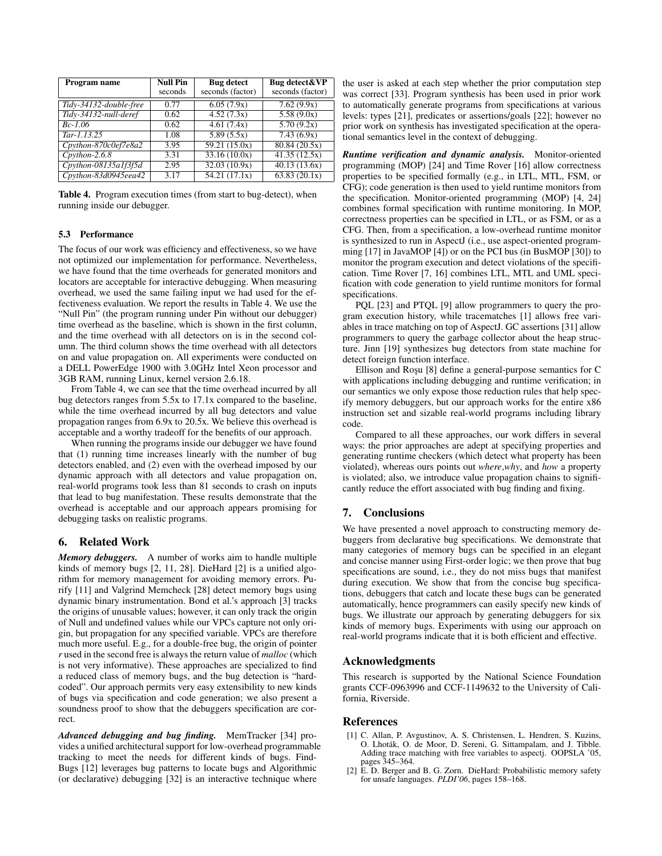| Program name                | <b>Null Pin</b> | <b>Bug</b> detect | Bug detect&VP    |
|-----------------------------|-----------------|-------------------|------------------|
|                             | seconds         | seconds (factor)  | seconds (factor) |
| Tidy-34132-double-free      | 0.77            | 6.05(7.9x)        | 7.62(9.9x)       |
| Tidy-34132-null-deref       | 0.62            | 4.52(7.3x)        | 5.58(9.0x)       |
| $Bc-1.06$                   | 0.62            | 4.61(7.4x)        | 5.70(9.2x)       |
| $Tar-1.13.25$               | 1.08            | 5.89(5.5x)        | 7.43(6.9x)       |
| Cpython-870c0ef7e8a2        | 3.95            | 59.21(15.0x)      | 80.84(20.5x)     |
| $C$ <i>p</i> $v$ thon-2.6.8 | 3.31            | 33.16(10.0x)      | 41.35(12.5x)     |
| $C$ python-08135a1f3f5d     | 2.95            | 32.03(10.9x)      | 40.13(13.6x)     |
| Cpython-83d0945eea42        | 3.17            | 54.21(17.1x)      | 63.83(20.1x)     |

Table 4. Program execution times (from start to bug-detect), when running inside our debugger.

## 5.3 Performance

The focus of our work was efficiency and effectiveness, so we have not optimized our implementation for performance. Nevertheless, we have found that the time overheads for generated monitors and locators are acceptable for interactive debugging. When measuring overhead, we used the same failing input we had used for the effectiveness evaluation. We report the results in Table 4. We use the "Null Pin" (the program running under Pin without our debugger) time overhead as the baseline, which is shown in the first column, and the time overhead with all detectors on is in the second column. The third column shows the time overhead with all detectors on and value propagation on. All experiments were conducted on a DELL PowerEdge 1900 with 3.0GHz Intel Xeon processor and 3GB RAM, running Linux, kernel version 2.6.18.

From Table 4, we can see that the time overhead incurred by all bug detectors ranges from 5.5x to 17.1x compared to the baseline, while the time overhead incurred by all bug detectors and value propagation ranges from 6.9x to 20.5x. We believe this overhead is acceptable and a worthy tradeoff for the benefits of our approach.

When running the programs inside our debugger we have found that (1) running time increases linearly with the number of bug detectors enabled, and (2) even with the overhead imposed by our dynamic approach with all detectors and value propagation on, real-world programs took less than 81 seconds to crash on inputs that lead to bug manifestation. These results demonstrate that the overhead is acceptable and our approach appears promising for debugging tasks on realistic programs.

## 6. Related Work

*Memory debuggers.* A number of works aim to handle multiple kinds of memory bugs [2, 11, 28]. DieHard [2] is a unified algorithm for memory management for avoiding memory errors. Purify [11] and Valgrind Memcheck [28] detect memory bugs using dynamic binary instrumentation. Bond et al.'s approach [3] tracks the origins of unusable values; however, it can only track the origin of Null and undefined values while our VPCs capture not only origin, but propagation for any specified variable. VPCs are therefore much more useful. E.g., for a double-free bug, the origin of pointer *r* used in the second free is always the return value of *malloc* (which is not very informative). These approaches are specialized to find a reduced class of memory bugs, and the bug detection is "hardcoded". Our approach permits very easy extensibility to new kinds of bugs via specification and code generation; we also present a soundness proof to show that the debuggers specification are correct.

*Advanced debugging and bug finding.* MemTracker [34] provides a unified architectural support for low-overhead programmable tracking to meet the needs for different kinds of bugs. Find-Bugs [12] leverages bug patterns to locate bugs and Algorithmic (or declarative) debugging [32] is an interactive technique where

the user is asked at each step whether the prior computation step was correct [33]. Program synthesis has been used in prior work to automatically generate programs from specifications at various levels: types [21], predicates or assertions/goals [22]; however no prior work on synthesis has investigated specification at the operational semantics level in the context of debugging.

*Runtime verification and dynamic analysis.* Monitor-oriented programming (MOP) [24] and Time Rover [16] allow correctness properties to be specified formally (e.g., in LTL, MTL, FSM, or CFG); code generation is then used to yield runtime monitors from the specification. Monitor-oriented programming (MOP) [4, 24] combines formal specification with runtime monitoring. In MOP, correctness properties can be specified in LTL, or as FSM, or as a CFG. Then, from a specification, a low-overhead runtime monitor is synthesized to run in AspectJ (i.e., use aspect-oriented programming [17] in JavaMOP [4]) or on the PCI bus (in BusMOP [30]) to monitor the program execution and detect violations of the specification. Time Rover [7, 16] combines LTL, MTL and UML specification with code generation to yield runtime monitors for formal specifications.

PQL [23] and PTQL [9] allow programmers to query the program execution history, while tracematches [1] allows free variables in trace matching on top of AspectJ. GC assertions [31] allow programmers to query the garbage collector about the heap structure. Jinn [19] synthesizes bug detectors from state machine for detect foreign function interface.

Ellison and Rosu [8] define a general-purpose semantics for C with applications including debugging and runtime verification; in our semantics we only expose those reduction rules that help specify memory debuggers, but our approach works for the entire x86 instruction set and sizable real-world programs including library code.

Compared to all these approaches, our work differs in several ways: the prior approaches are adept at specifying properties and generating runtime checkers (which detect what property has been violated), whereas ours points out *where*,*why*, and *how* a property is violated; also, we introduce value propagation chains to significantly reduce the effort associated with bug finding and fixing.

## 7. Conclusions

We have presented a novel approach to constructing memory debuggers from declarative bug specifications. We demonstrate that many categories of memory bugs can be specified in an elegant and concise manner using First-order logic; we then prove that bug specifications are sound, i.e., they do not miss bugs that manifest during execution. We show that from the concise bug specifications, debuggers that catch and locate these bugs can be generated automatically, hence programmers can easily specify new kinds of bugs. We illustrate our approach by generating debuggers for six kinds of memory bugs. Experiments with using our approach on real-world programs indicate that it is both efficient and effective.

#### Acknowledgments

This research is supported by the National Science Foundation grants CCF-0963996 and CCF-1149632 to the University of California, Riverside.

#### References

- [1] C. Allan, P. Avgustinov, A. S. Christensen, L. Hendren, S. Kuzins, O. Lhotak, O. de Moor, D. Sereni, G. Sittampalam, and J. Tibble. ´ Adding trace matching with free variables to aspectj. OOPSLA '05, pages 345–364.
- [2] E. D. Berger and B. G. Zorn. DieHard: Probabilistic memory safety for unsafe languages. *PLDI'06*, pages 158–168.